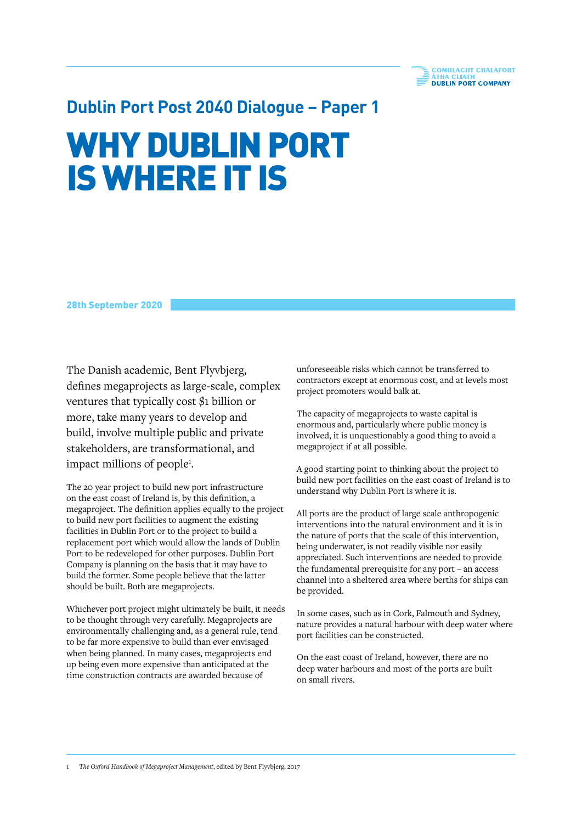# **Dublin Port Post 2040 Dialogue – Paper 1**

## WHY DUBLIN PORT IS WHERE IT IS

28th September 2020

The Danish academic, Bent Flyvbjerg, defines megaprojects as large-scale, complex ventures that typically cost \$1 billion or more, take many years to develop and build, involve multiple public and private stakeholders, are transformational, and impact millions of people<sup>1</sup>.

The 20 year project to build new port infrastructure on the east coast of Ireland is, by this definition, a megaproject. The definition applies equally to the project to build new port facilities to augment the existing facilities in Dublin Port or to the project to build a replacement port which would allow the lands of Dublin Port to be redeveloped for other purposes. Dublin Port Company is planning on the basis that it may have to build the former. Some people believe that the latter should be built. Both are megaprojects.

Whichever port project might ultimately be built, it needs to be thought through very carefully. Megaprojects are environmentally challenging and, as a general rule, tend to be far more expensive to build than ever envisaged when being planned. In many cases, megaprojects end up being even more expensive than anticipated at the time construction contracts are awarded because of

unforeseeable risks which cannot be transferred to contractors except at enormous cost, and at levels most project promoters would balk at.

The capacity of megaprojects to waste capital is enormous and, particularly where public money is involved, it is unquestionably a good thing to avoid a megaproject if at all possible.

A good starting point to thinking about the project to build new port facilities on the east coast of Ireland is to understand why Dublin Port is where it is.

All ports are the product of large scale anthropogenic interventions into the natural environment and it is in the nature of ports that the scale of this intervention, being underwater, is not readily visible nor easily appreciated. Such interventions are needed to provide the fundamental prerequisite for any port – an access channel into a sheltered area where berths for ships can be provided.

In some cases, such as in Cork, Falmouth and Sydney, nature provides a natural harbour with deep water where port facilities can be constructed.

On the east coast of Ireland, however, there are no deep water harbours and most of the ports are built on small rivers.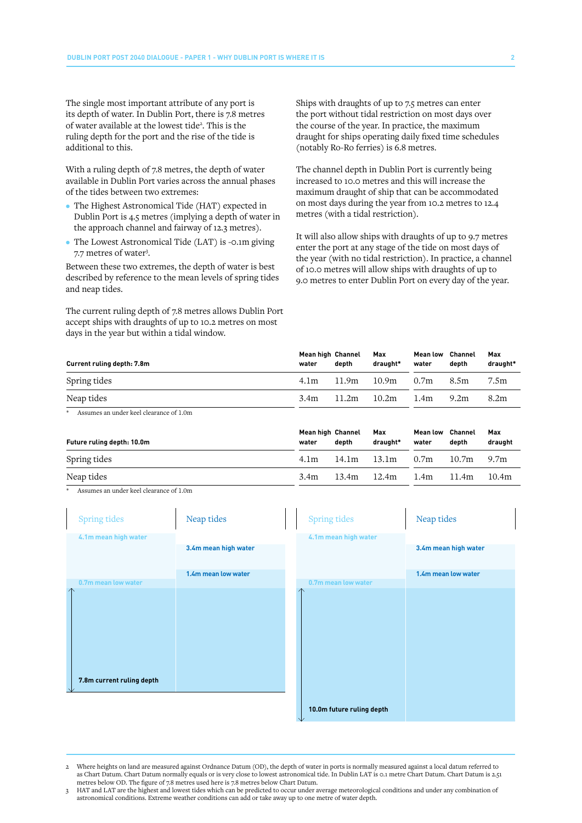The single most important attribute of any port is its depth of water. In Dublin Port, there is 7.8 metres of water available at the lowest tide<sup>2</sup>. This is the ruling depth for the port and the rise of the tide is additional to this.

With a ruling depth of 7.8 metres, the depth of water available in Dublin Port varies across the annual phases of the tides between two extremes:

- The Highest Astronomical Tide (HAT) expected in Dublin Port is 4.5 metres (implying a depth of water in the approach channel and fairway of 12.3 metres).
- The Lowest Astronomical Tide (LAT) is -0.1m giving 7.7 metres of water<sup>3</sup>.

Between these two extremes, the depth of water is best described by reference to the mean levels of spring tides and neap tides.

The current ruling depth of 7.8 metres allows Dublin Port accept ships with draughts of up to 10.2 metres on most days in the year but within a tidal window.

Ships with draughts of up to 7.5 metres can enter the port without tidal restriction on most days over the course of the year. In practice, the maximum draught for ships operating daily fixed time schedules (notably Ro-Ro ferries) is 6.8 metres.

The channel depth in Dublin Port is currently being increased to 10.0 metres and this will increase the maximum draught of ship that can be accommodated on most days during the year from 10.2 metres to 12.4 metres (with a tidal restriction).

It will also allow ships with draughts of up to 9.7 metres enter the port at any stage of the tide on most days of the year (with no tidal restriction). In practice, a channel of 10.0 metres will allow ships with draughts of up to 9.0 metres to enter Dublin Port on every day of the year.

| water            | depth | Max<br>draught*   | water            | depth | Max<br>draught*         |
|------------------|-------|-------------------|------------------|-------|-------------------------|
| 4.1m             | 11.9m | 10.9m             | 0.7 <sub>m</sub> | 8.5m  | 7.5m                    |
| 3.4 <sub>m</sub> | 11.2m | 10.2m             | 1.4m             | 9.2m  | 8.2m                    |
|                  |       | Mean high Channel |                  |       | <b>Mean low</b> Channel |

Assumes an under keel clearance of 1.0m

| Future ruling depth: 10.0m | Mean high Channel<br>water | depth | Max<br>draught* | <b>Mean low</b> Channel<br>water | depth | Max<br>draught   |
|----------------------------|----------------------------|-------|-----------------|----------------------------------|-------|------------------|
| Spring tides               | 4.1m                       | 14.1m | 13.1m           | 0.7 <sub>m</sub>                 | 10.7m | 9.7 <sub>m</sub> |
| Neap tides                 | 3.4 <sub>m</sub>           | 13.4m | 12.4m           | 1.4m                             | 11.4m | 10.4m            |
|                            |                            |       |                 |                                  |       |                  |

Assumes an under keel clearance of 1.0m

| Spring tides                                    | Neap tides           | Spring tides        |                           | Neap tides           |
|-------------------------------------------------|----------------------|---------------------|---------------------------|----------------------|
| 4.1m mean high water                            |                      |                     | 4.1m mean high water      |                      |
|                                                 | 3.4m mean high water |                     |                           | 3.4m mean high water |
|                                                 | 1.4m mean low water  |                     |                           | 1.4m mean low water  |
| 0.7m mean low water                             |                      | 0.7m mean low water |                           |                      |
| $\curvearrowright$<br>7.8m current ruling depth |                      |                     |                           |                      |
|                                                 |                      |                     | 10.0m future ruling depth |                      |

<sup>2</sup> Where heights on land are measured against Ordnance Datum (OD), the depth of water in ports is normally measured against a local datum referred to as Chart Datum. Chart Datum normally equals or is very close to lowest astronomical tide. In Dublin LAT is 0.1 metre Chart Datum. Chart Datum is 2.51 metres below OD. The figure of 7.8 metres used here is 7.8 metres below Chart Datum.

<sup>3</sup> HAT and LAT are the highest and lowest tides which can be predicted to occur under average meteorological conditions and under any combination of astronomical conditions. Extreme weather conditions can add or take away up to one metre of water depth.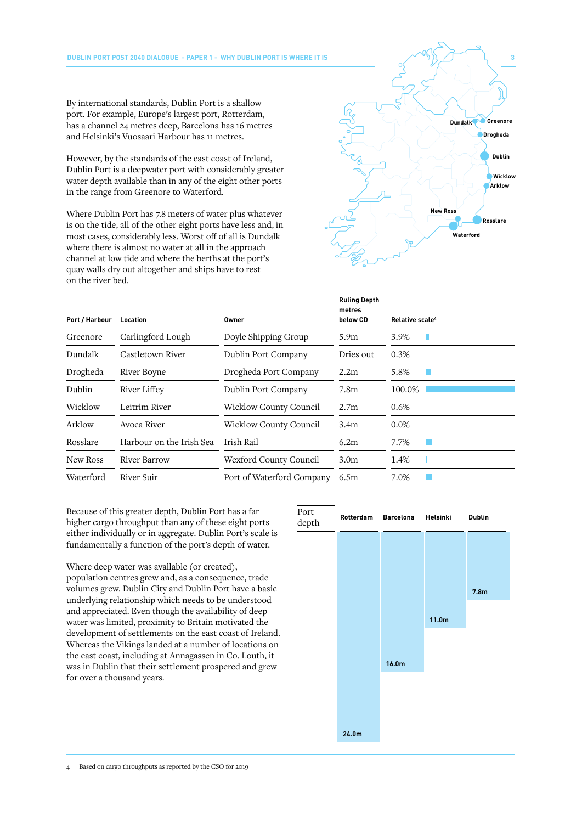By international standards, Dublin Port is a shallow port. For example, Europe's largest port, Rotterdam, has a channel 24 metres deep, Barcelona has 16 metres and Helsinki's Vuosaari Harbour has 11 metres.

However, by the standards of the east coast of Ireland, Dublin Port is a deepwater port with considerably greater water depth available than in any of the eight other ports in the range from Greenore to Waterford.

Where Dublin Port has 7.8 meters of water plus whatever is on the tide, all of the other eight ports have less and, in most cases, considerably less. Worst off of all is Dundalk where there is almost no water at all in the approach channel at low tide and where the berths at the port's quay walls dry out altogether and ships have to rest on the river bed.



| Port / Harbour | Location                 | Owner                         | <b>Ruling Depth</b><br>metres<br>below CD | Relative scale <sup>4</sup> |
|----------------|--------------------------|-------------------------------|-------------------------------------------|-----------------------------|
| Greenore       | Carlingford Lough        | Doyle Shipping Group          | 5.9 <sub>m</sub>                          | 3.9%                        |
| Dundalk        | Castletown River         | Dublin Port Company           | Dries out                                 | 0.3%                        |
| Drogheda       | River Boyne              | Drogheda Port Company         | 2.2m                                      | 5.8%                        |
| Dublin         | River Liffey             | Dublin Port Company           | 7.8m                                      | 100.0%                      |
| Wicklow        | Leitrim River            | <b>Wicklow County Council</b> | 2.7 <sub>m</sub>                          | 0.6%                        |
| Arklow         | Avoca River              | <b>Wicklow County Council</b> | 3.4m                                      | $0.0\%$                     |
| Rosslare       | Harbour on the Irish Sea | Irish Rail                    | 6.2m                                      | 7.7%                        |
| New Ross       | River Barrow             | Wexford County Council        | 3.0 <sub>m</sub>                          | 1.4%                        |
| Waterford      | River Suir               | Port of Waterford Company     | 6.5m                                      | 7.0%                        |

Because of this greater depth, Dublin Port has a far higher cargo throughput than any of these eight ports either individually or in aggregate. Dublin Port's scale is fundamentally a function of the port's depth of water.

Where deep water was available (or created), population centres grew and, as a consequence, trade volumes grew. Dublin City and Dublin Port have a basic underlying relationship which needs to be understood and appreciated. Even though the availability of deep water was limited, proximity to Britain motivated the development of settlements on the east coast of Ireland. Whereas the Vikings landed at a number of locations on the east coast, including at Annagassen in Co. Louth, it was in Dublin that their settlement prospered and grew for over a thousand years.

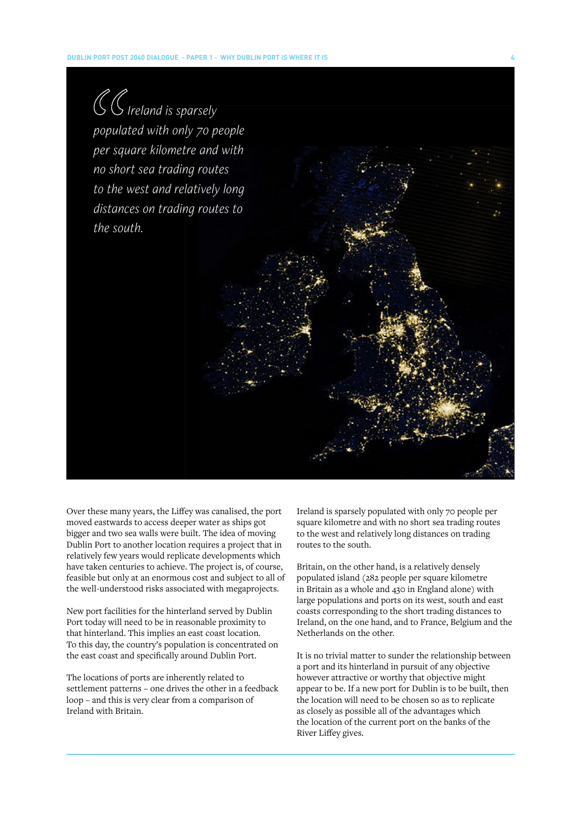#### **DUBLIN PORT POST 2040 DIALOGUE - PAPER 1 - WHY DUBLIN PORT IS WHERE IT IS**

*Ireland is sparsely populated with only 70 people per square kilometre and with no short sea trading routes to the west and relatively long distances on trading routes to the south.*

Over these many years, the Liffey was canalised, the port moved eastwards to access deeper water as ships got bigger and two sea walls were built. The idea of moving Dublin Port to another location requires a project that in relatively few years would replicate developments which have taken centuries to achieve. The project is, of course, feasible but only at an enormous cost and subject to all of the well-understood risks associated with megaprojects.

New port facilities for the hinterland served by Dublin Port today will need to be in reasonable proximity to that hinterland. This implies an east coast location. To this day, the country's population is concentrated on the east coast and specifically around Dublin Port.

The locations of ports are inherently related to settlement patterns – one drives the other in a feedback loop – and this is very clear from a comparison of Ireland with Britain.

Ireland is sparsely populated with only 70 people per square kilometre and with no short sea trading routes to the west and relatively long distances on trading routes to the south.

Britain, on the other hand, is a relatively densely populated island (282 people per square kilometre in Britain as a whole and 430 in England alone) with large populations and ports on its west, south and east coasts corresponding to the short trading distances to Ireland, on the one hand, and to France, Belgium and the Netherlands on the other.

It is no trivial matter to sunder the relationship between a port and its hinterland in pursuit of any objective however attractive or worthy that objective might appear to be. If a new port for Dublin is to be built, then the location will need to be chosen so as to replicate as closely as possible all of the advantages which the location of the current port on the banks of the River Liffey gives.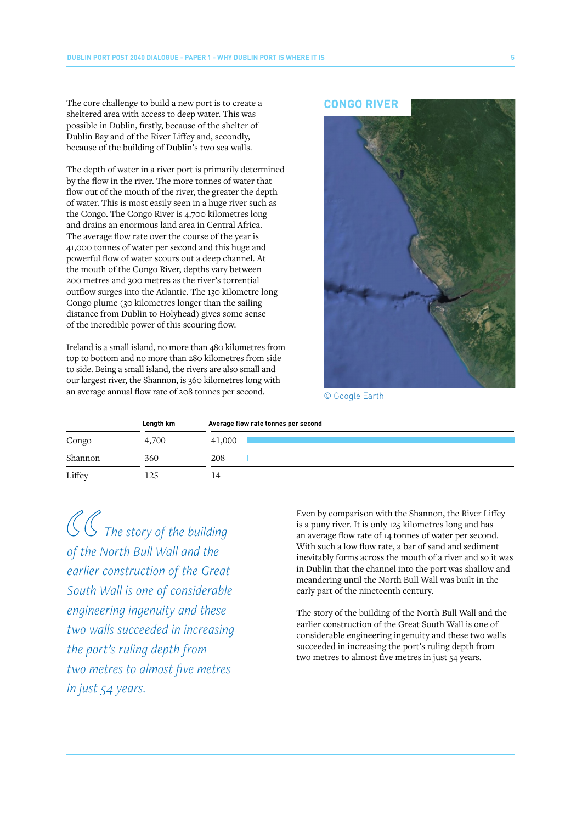The core challenge to build a new port is to create a sheltered area with access to deep water. This was possible in Dublin, firstly, because of the shelter of Dublin Bay and of the River Liffey and, secondly, because of the building of Dublin's two sea walls.

The depth of water in a river port is primarily determined by the flow in the river. The more tonnes of water that flow out of the mouth of the river, the greater the depth of water. This is most easily seen in a huge river such as the Congo. The Congo River is 4,700 kilometres long and drains an enormous land area in Central Africa. The average flow rate over the course of the year is 41,000 tonnes of water per second and this huge and powerful flow of water scours out a deep channel. At the mouth of the Congo River, depths vary between 200 metres and 300 metres as the river's torrential outflow surges into the Atlantic. The 130 kilometre long Congo plume (30 kilometres longer than the sailing distance from Dublin to Holyhead) gives some sense of the incredible power of this scouring flow.

Ireland is a small island, no more than 480 kilometres from top to bottom and no more than 280 kilometres from side to side. Being a small island, the rivers are also small and our largest river, the Shannon, is 360 kilometres long with an average annual flow rate of 208 tonnes per second.

### **CONGO RIVER**



© Google Earth

|         | Length km | Average flow rate tonnes per second |
|---------|-----------|-------------------------------------|
| Congo   | 4,700     | 41,000                              |
| Shannon | 360       | 208                                 |
| Liffey  | 125       | 14                                  |

*The story of the building of the North Bull Wall and the earlier construction of the Great South Wall is one of considerable engineering ingenuity and these two walls succeeded in increasing the port's ruling depth from two metres to almost five metres in just 54 years.*

Even by comparison with the Shannon, the River Liffey is a puny river. It is only 125 kilometres long and has an average flow rate of 14 tonnes of water per second. With such a low flow rate, a bar of sand and sediment inevitably forms across the mouth of a river and so it was in Dublin that the channel into the port was shallow and meandering until the North Bull Wall was built in the early part of the nineteenth century.

The story of the building of the North Bull Wall and the earlier construction of the Great South Wall is one of considerable engineering ingenuity and these two walls succeeded in increasing the port's ruling depth from two metres to almost five metres in just 54 years.